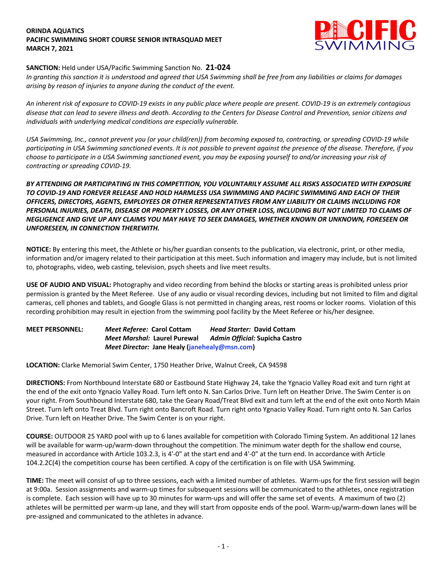#### **ORINDA AQUATICS PACIFIC SWIMMING SHORT COURSE SENIOR INTRASQUAD MEET MARCH 7, 2021**



### **SANCTION:** Held under USA/Pacific Swimming Sanction No. **21-024**

*In granting this sanction it is understood and agreed that USA Swimming shall be free from any liabilities or claims for damages arising by reason of injuries to anyone during the conduct of the event.* 

*An inherent risk of exposure to COVID-19 exists in any public place where people are present. COVID-19 is an extremely contagious disease that can lead to severe illness and death. According to the Centers for Disease Control and Prevention, senior citizens and individuals with underlying medical conditions are especially vulnerable.*

*USA Swimming, Inc., cannot prevent you (or your child(ren)) from becoming exposed to, contracting, or spreading COVID-19 while participating in USA Swimming sanctioned events. It is not possible to prevent against the presence of the disease. Therefore, if you choose to participate in a USA Swimming sanctioned event, you may be exposing yourself to and/or increasing your risk of contracting or spreading COVID-19.*

## *BY ATTENDING OR PARTICIPATING IN THIS COMPETITION, YOU VOLUNTARILY ASSUME ALL RISKS ASSOCIATED WITH EXPOSURE TO COVID-19 AND FOREVER RELEASE AND HOLD HARMLESS USA SWIMMING AND PACIFIC SWIMMING AND EACH OF THEIR OFFICERS, DIRECTORS, AGENTS, EMPLOYEES OR OTHER REPRESENTATIVES FROM ANY LIABILITY OR CLAIMS INCLUDING FOR PERSONAL INJURIES, DEATH, DISEASE OR PROPERTY LOSSES, OR ANY OTHER LOSS, INCLUDING BUT NOT LIMITED TO CLAIMS OF NEGLIGENCE AND GIVE UP ANY CLAIMS YOU MAY HAVE TO SEEK DAMAGES, WHETHER KNOWN OR UNKNOWN, FORESEEN OR UNFORESEEN, IN CONNECTION THEREWITH.*

**NOTICE:** By entering this meet, the Athlete or his/her guardian consents to the publication, via electronic, print, or other media, information and/or imagery related to their participation at this meet. Such information and imagery may include, but is not limited to, photographs, video, web casting, television, psych sheets and live meet results.

**USE OF AUDIO AND VISUAL:** Photography and video recording from behind the blocks or starting areas is prohibited unless prior permission is granted by the Meet Referee. Use of any audio or visual recording devices, including but not limited to film and digital cameras, cell phones and tablets, and Google Glass is not permitted in changing areas, rest rooms or locker rooms. Violation of this recording prohibition may result in ejection from the swimming pool facility by the Meet Referee or his/her designee.

# **MEET PERSONNEL:** *Meet Referee:* **Carol Cottam** *Head Starter:* **David Cottam** *Meet Marshal:* **Laurel Purewal** *Admin Official:* **Supicha Castro** *Meet Director:* **Jane Healy (janehealy@msn.com)**

**LOCATION:** Clarke Memorial Swim Center, 1750 Heather Drive, Walnut Creek, CA 94598

**DIRECTIONS:** From Northbound Interstate 680 or Eastbound State Highway 24, take the Ygnacio Valley Road exit and turn right at the end of the exit onto Ygnacio Valley Road. Turn left onto N. San Carlos Drive. Turn left on Heather Drive. The Swim Center is on your right. From Southbound Interstate 680, take the Geary Road/Treat Blvd exit and turn left at the end of the exit onto North Main Street. Turn left onto Treat Blvd. Turn right onto Bancroft Road. Turn right onto Ygnacio Valley Road. Turn right onto N. San Carlos Drive. Turn left on Heather Drive. The Swim Center is on your right.

**COURSE:** OUTDOOR 25 YARD pool with up to 6 lanes available for competition with Colorado Timing System. An additional 12 lanes will be available for warm-up/warm-down throughout the competition. The minimum water depth for the shallow end course, measured in accordance with Article 103.2.3, is 4'-0" at the start end and 4'-0" at the turn end. In accordance with Article 104.2.2C(4) the competition course has been certified. A copy of the certification is on file with USA Swimming.

**TIME:** The meet will consist of up to three sessions, each with a limited number of athletes. Warm-ups for the first session will begin at 9:00a. Session assignments and warm-up times for subsequent sessions will be communicated to the athletes, once registration is complete. Each session will have up to 30 minutes for warm-ups and will offer the same set of events. A maximum of two (2) athletes will be permitted per warm-up lane, and they will start from opposite ends of the pool. Warm-up/warm-down lanes will be pre-assigned and communicated to the athletes in advance.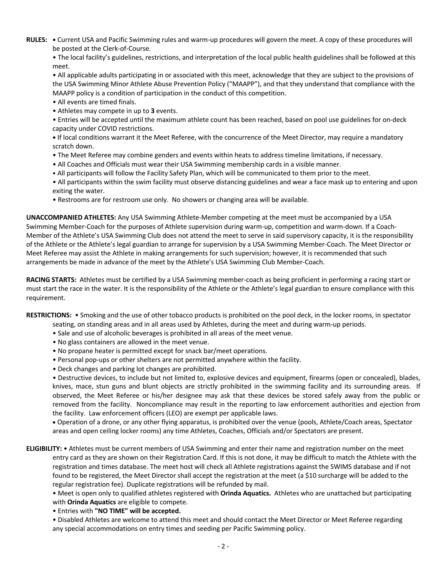**RULES: •** Current USA and Pacific Swimming rules and warm-up procedures will govern the meet. A copy of these procedures will be posted at the Clerk-of-Course.

• The local facility's guidelines, restrictions, and interpretation of the local public health guidelines shall be followed at this meet.

• All applicable adults participating in or associated with this meet, acknowledge that they are subject to the provisions of the USA Swimming Minor Athlete Abuse Prevention Policy ("MAAPP"), and that they understand that compliance with the MAAPP policy is a condition of participation in the conduct of this competition.

- All events are timed finals.
- Athletes may compete in up to **3** events.
- Entries will be accepted until the maximum athlete count has been reached, based on pool use guidelines for on-deck capacity under COVID restrictions.
- **•** If local conditions warrant it the Meet Referee, with the concurrence of the Meet Director, may require a mandatory scratch down.
- The Meet Referee may combine genders and events within heats to address timeline limitations, if necessary.
- All Coaches and Officials must wear their USA Swimming membership cards in a visible manner.
- All participants will follow the Facility Safety Plan, which will be communicated to them prior to the meet.
- All participants within the swim facility must observe distancing guidelines and wear a face mask up to entering and upon exiting the water.
- Restrooms are for restroom use only. No showers or changing area will be available.

**UNACCOMPANIED ATHLETES:** Any USA Swimming Athlete-Member competing at the meet must be accompanied by a USA Swimming Member-Coach for the purposes of Athlete supervision during warm-up, competition and warm-down. If a Coach-Member of the Athlete's USA Swimming Club does not attend the meet to serve in said supervisory capacity, it is the responsibility of the Athlete or the Athlete's legal guardian to arrange for supervision by a USA Swimming Member-Coach. The Meet Director or Meet Referee may assist the Athlete in making arrangements for such supervision; however, it is recommended that such arrangements be made in advance of the meet by the Athlete's USA Swimming Club Member-Coach.

**RACING STARTS:** Athletes must be certified by a USA Swimming member-coach as being proficient in performing a racing start or must start the race in the water. It is the responsibility of the Athlete or the Athlete's legal guardian to ensure compliance with this requirement.

**RESTRICTIONS:** • Smoking and the use of other tobacco products is prohibited on the pool deck, in the locker rooms, in spectator

- seating, on standing areas and in all areas used by Athletes, during the meet and during warm-up periods.
- Sale and use of alcoholic beverages is prohibited in all areas of the meet venue.
- No glass containers are allowed in the meet venue.
- No propane heater is permitted except for snack bar/meet operations.
- Personal pop-ups or other shelters are not permitted anywhere within the facility.
- Deck changes and parking lot changes are prohibited.

• Destructive devices, to include but not limited to, explosive devices and equipment, firearms (open or concealed), blades, knives, mace, stun guns and blunt objects are strictly prohibited in the swimming facility and its surrounding areas. If observed, the Meet Referee or his/her designee may ask that these devices be stored safely away from the public or removed from the facility. Noncompliance may result in the reporting to law enforcement authorities and ejection from the facility. Law enforcement officers (LEO) are exempt per applicable laws.

• Operation of a drone, or any other flying apparatus, is prohibited over the venue (pools, Athlete/Coach areas, Spectator areas and open ceiling locker rooms) any time Athletes, Coaches, Officials and/or Spectators are present.

**ELIGIBILITY:** • Athletes must be current members of USA Swimming and enter their name and registration number on the meet entry card as they are shown on their Registration Card. If this is not done, it may be difficult to match the Athlete with the registration and times database. The meet host will check all Athlete registrations against the SWIMS database and if not found to be registered, the Meet Director shall accept the registration at the meet (a \$10 surcharge will be added to the regular registration fee). Duplicate registrations will be refunded by mail.

• Meet is open only to qualified athletes registered with **Orinda Aquatics.** Athletes who are unattached but participating with **Orinda Aquatics** are eligible to compete.

• Entries with **"NO TIME" will be accepted.**

• Disabled Athletes are welcome to attend this meet and should contact the Meet Director or Meet Referee regarding any special accommodations on entry times and seeding per Pacific Swimming policy.